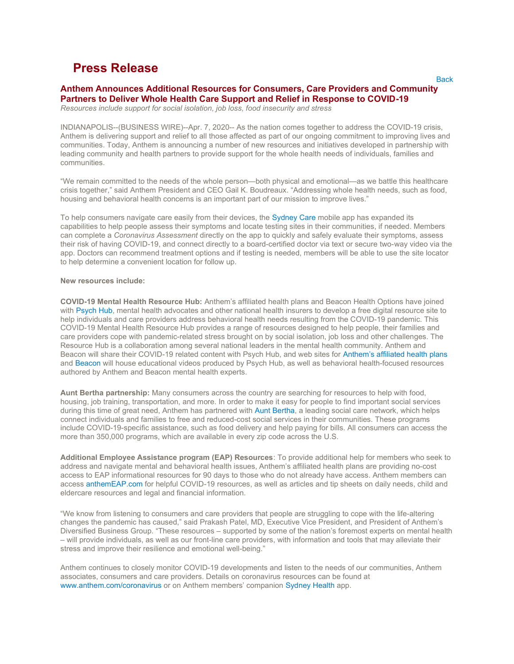# Press Release

# Anthem Announces Additional Resources for Consumers, Care Providers and Community Partners to Deliver Whole Health Care Support and Relief in Response to COVID-19

Resources include support for social isolation, job loss, food insecurity and stress

INDIANAPOLIS--(BUSINESS WIRE)--Apr. 7, 2020-- As the nation comes together to address the COVID-19 crisis, Anthem is delivering support and relief to all those affected as part of our ongoing commitment to improving lives and communities. Today, Anthem is announcing a number of new resources and initiatives developed in partnership with leading community and health partners to provide support for the whole health needs of individuals, families and communities.

"We remain committed to the needs of the whole person—both physical and emotional—as we battle this healthcare crisis together," said Anthem President and CEO Gail K. Boudreaux. "Addressing whole health needs, such as food, housing and behavioral health concerns is an important part of our mission to improve lives."

To help consumers navigate care easily from their devices, the Sydney Care mobile app has expanded its capabilities to help people assess their symptoms and locate testing sites in their communities, if needed. Members can complete a Coronavirus Assessment directly on the app to quickly and safely evaluate their symptoms, assess their risk of having COVID-19, and connect directly to a board-certified doctor via text or secure two-way video via the app. Doctors can recommend treatment options and if testing is needed, members will be able to use the site locator to help determine a convenient location for follow up.

#### New resources include:

COVID-19 Mental Health Resource Hub: Anthem's affiliated health plans and Beacon Health Options have joined with Psych Hub, mental health advocates and other national health insurers to develop a free digital resource site to help individuals and care providers address behavioral health needs resulting from the COVID-19 pandemic. This COVID-19 Mental Health Resource Hub provides a range of resources designed to help people, their families and care providers cope with pandemic-related stress brought on by social isolation, job loss and other challenges. The Resource Hub is a collaboration among several national leaders in the mental health community. Anthem and Beacon will share their COVID-19 related content with Psych Hub, and web sites for Anthem's affiliated health plans and Beacon will house educational videos produced by Psych Hub, as well as behavioral health-focused resources authored by Anthem and Beacon mental health experts.

Aunt Bertha partnership: Many consumers across the country are searching for resources to help with food, housing, job training, transportation, and more. In order to make it easy for people to find important social services during this time of great need, Anthem has partnered with Aunt Bertha, a leading social care network, which helps connect individuals and families to free and reduced-cost social services in their communities. These programs include COVID-19-specific assistance, such as food delivery and help paying for bills. All consumers can access the more than 350,000 programs, which are available in every zip code across the U.S.

Additional Employee Assistance program (EAP) Resources: To provide additional help for members who seek to address and navigate mental and behavioral health issues, Anthem's affiliated health plans are providing no-cost access to EAP informational resources for 90 days to those who do not already have access. Anthem members can access anthemEAP.com for helpful COVID-19 resources, as well as articles and tip sheets on daily needs, child and eldercare resources and legal and financial information.

"We know from listening to consumers and care providers that people are struggling to cope with the life-altering changes the pandemic has caused," said Prakash Patel, MD, Executive Vice President, and President of Anthem's Diversified Business Group. "These resources – supported by some of the nation's foremost experts on mental health – will provide individuals, as well as our front-line care providers, with information and tools that may alleviate their stress and improve their resilience and emotional well-being."

Anthem continues to closely monitor COVID-19 developments and listen to the needs of our communities, Anthem associates, consumers and care providers. Details on coronavirus resources can be found at www.anthem.com/coronavirus or on Anthem members' companion Sydney Health app.